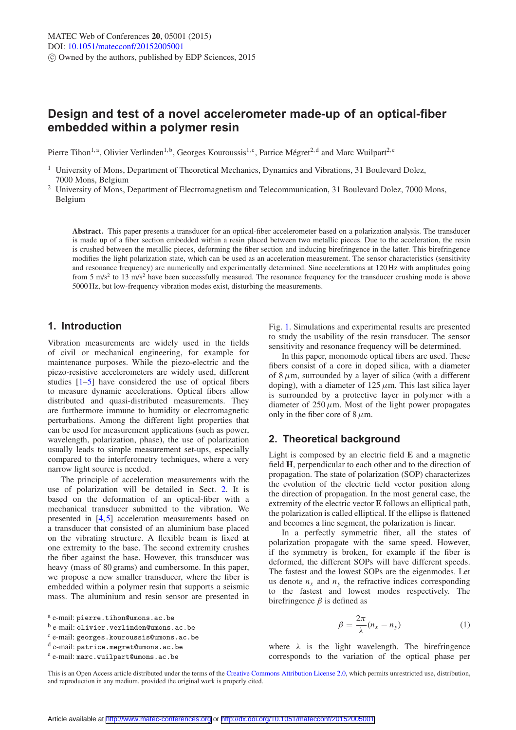# **Design and test of a novel accelerometer made-up of an optical-fiber embedded within a polymer resin**

Pierre Tihon<sup>1, a</sup>, Olivier Verlinden<sup>1, b</sup>, Georges Kouroussis<sup>1, c</sup>, Patrice Mégret<sup>2, d</sup> and Marc Wuilpart<sup>2, e</sup>

<sup>1</sup> University of Mons, Department of Theoretical Mechanics, Dynamics and Vibrations, 31 Boulevard Dolez, 7000 Mons, Belgium

<sup>2</sup> University of Mons, Department of Electromagnetism and Telecommunication, 31 Boulevard Dolez, 7000 Mons, Belgium

**Abstract.** This paper presents a transducer for an optical-fiber accelerometer based on a polarization analysis. The transducer is made up of a fiber section embedded within a resin placed between two metallic pieces. Due to the acceleration, the resin is crushed between the metallic pieces, deforming the fiber section and inducing birefringence in the latter. This birefringence modifies the light polarization state, which can be used as an acceleration measurement. The sensor characteristics (sensitivity and resonance frequency) are numerically and experimentally determined. Sine accelerations at 120 Hz with amplitudes going from 5 m/s<sup>2</sup> to 13 m/s<sup>2</sup> have been successfully measured. The resonance frequency for the transducer crushing mode is above 5000 Hz, but low-frequency vibration modes exist, disturbing the measurements.

# **1. Introduction**

Vibration measurements are widely used in the fields of civil or mechanical engineering, for example for maintenance purposes. While the piezo-electric and the piezo-resistive accelerometers are widely used, different studies [\[1](#page-5-0)[–5\]](#page-5-1) have considered the use of optical fibers to measure dynamic accelerations. Optical fibers allow distributed and quasi-distributed measurements. They are furthermore immune to humidity or electromagnetic perturbations. Among the different light properties that can be used for measurement applications (such as power, wavelength, polarization, phase), the use of polarization usually leads to simple measurement set-ups, especially compared to the interferometry techniques, where a very narrow light source is needed.

The principle of acceleration measurements with the use of polarization will be detailed in Sect. [2.](#page-0-0) It is based on the deformation of an optical-fiber with a mechanical transducer submitted to the vibration. We presented in [\[4](#page-5-2)[,5](#page-5-1)] acceleration measurements based on a transducer that consisted of an aluminium base placed on the vibrating structure. A flexible beam is fixed at one extremity to the base. The second extremity crushes the fiber against the base. However, this transducer was heavy (mass of 80 grams) and cumbersome. In this paper, we propose a new smaller transducer, where the fiber is embedded within a polymer resin that supports a seismic mass. The aluminium and resin sensor are presented in Fig. [1.](#page-1-0) Simulations and experimental results are presented to study the usability of the resin transducer. The sensor sensitivity and resonance frequency will be determined.

In this paper, monomode optical fibers are used. These fibers consist of a core in doped silica, with a diameter of  $8 \mu$ m, surrounded by a layer of silica (with a different doping), with a diameter of  $125 \mu$ m. This last silica layer is surrounded by a protective layer in polymer with a diameter of  $250 \mu$ m. Most of the light power propagates only in the fiber core of  $8 \mu$ m.

# <span id="page-0-0"></span>**2. Theoretical background**

Light is composed by an electric field **E** and a magnetic field **H**, perpendicular to each other and to the direction of propagation. The state of polarization (SOP) characterizes the evolution of the electric field vector position along the direction of propagation. In the most general case, the extremity of the electric vector **E** follows an elliptical path, the polarization is called elliptical. If the ellipse is flattened and becomes a line segment, the polarization is linear.

In a perfectly symmetric fiber, all the states of polarization propagate with the same speed. However, if the symmetry is broken, for example if the fiber is deformed, the different SOPs will have different speeds. The fastest and the lowest SOPs are the eigenmodes. Let us denote  $n_x$  and  $n_y$  the refractive indices corresponding to the fastest and lowest modes respectively. The birefringence  $\beta$  is defined as

$$
\beta = \frac{2\pi}{\lambda}(n_x - n_y) \tag{1}
$$

where  $\lambda$  is the light wavelength. The birefringence corresponds to the variation of the optical phase per

<sup>a</sup> e-mail: pierre.tihon@umons.ac.be

<sup>b</sup> e-mail: olivier.verlinden@umons.ac.be

 $c$  e-mail: georges.kouroussis@umons.ac.be

<sup>d</sup> e-mail: patrice.megret@umons.ac.be

<sup>e</sup> e-mail: marc.wuilpart@umons.ac.be

This is an Open Access article distributed under the terms of the [Creative Commons Attribution License 2.0,](http://creativecommons.org/licenses/by/2.0/) which permits unrestricted use, distribution, and reproduction in any medium, provided the original work is properly cited.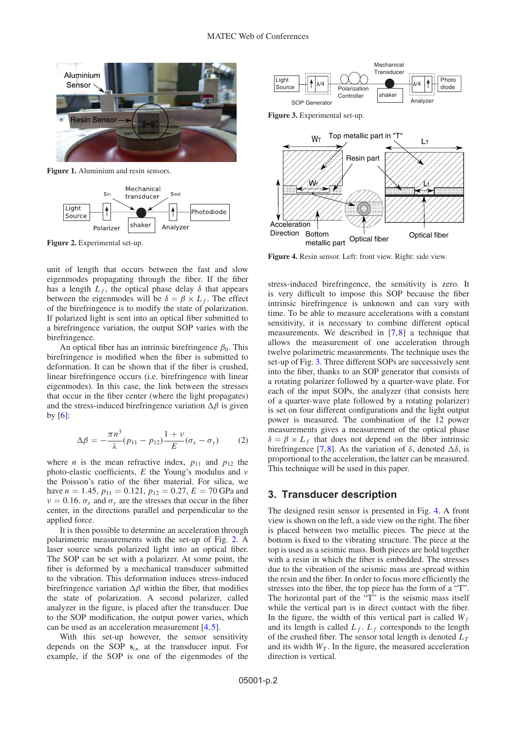<span id="page-1-0"></span>

**Figure 1.** Aluminium and resin sensors.

<span id="page-1-1"></span>

**Figure 2.** Experimental set-up.

unit of length that occurs between the fast and slow eigenmodes propagating through the fiber. If the fiber has a length  $L_f$ , the optical phase delay  $\delta$  that appears between the eigenmodes will be  $\delta = \beta \times L_f$ . The effect of the birefringence is to modify the state of polarization. If polarized light is sent into an optical fiber submitted to a birefringence variation, the output SOP varies with the birefringence.

An optical fiber has an intrinsic birefringence  $\beta_0$ . This birefringence is modified when the fiber is submitted to deformation. It can be shown that if the fiber is crushed, linear birefringence occurs (i.e. birefringence with linear eigenmodes). In this case, the link between the stresses that occur in the fiber center (where the light propagates) and the stress-induced birefringence variation  $\Delta \beta$  is given by  $[6]$ :

$$
\Delta \beta = -\frac{\pi n^3}{\lambda} (p_{11} - p_{12}) \frac{1+v}{E} (\sigma_x - \sigma_y) \tag{2}
$$

<span id="page-1-4"></span>where *n* is the mean refractive index,  $p_{11}$  and  $p_{12}$  the photo-elastic coefficients, *E* the Young's modulus and ν the Poisson's ratio of the fiber material. For silica, we have  $n = 1.45$ ,  $p_{11} = 0.121$ ,  $p_{12} = 0.27$ ,  $E = 70$  GPa and  $\nu = 0.16$ .  $\sigma_x$  and  $\sigma_y$  are the stresses that occur in the fiber center, in the directions parallel and perpendicular to the applied force.

It is then possible to determine an acceleration through polarimetric measurements with the set-up of Fig. [2.](#page-1-1) A laser source sends polarized light into an optical fiber. The SOP can be set with a polarizer. At some point, the fiber is deformed by a mechanical transducer submitted to the vibration. This deformation induces stress-induced birefringence variation  $\Delta \beta$  within the fiber, that modifies the state of polarization. A second polarizer, called analyzer in the figure, is placed after the transducer. Due to the SOP modification, the output power varies, which can be used as an acceleration measurement [\[4](#page-5-2),[5\]](#page-5-1).

With this set-up however, the sensor sensitivity depends on the SOP **s***in* at the transducer input. For example, if the SOP is one of the eigenmodes of the

<span id="page-1-2"></span>

**Figure 3.** Experimental set-up.

<span id="page-1-3"></span>

**Figure 4.** Resin sensor. Left: front view. Right: side view.

stress-induced birefringence, the sensitivity is zero. It is very difficult to impose this SOP because the fiber intrinsic birefringence is unknown and can vary with time. To be able to measure accelerations with a constant sensitivity, it is necessary to combine different optical measurements. We described in [\[7](#page-5-4),[8\]](#page-5-5) a technique that allows the measurement of one acceleration through twelve polarimetric measurements. The technique uses the set-up of Fig. [3.](#page-1-2) Three different SOPs are successively sent into the fiber, thanks to an SOP generator that consists of a rotating polarizer followed by a quarter-wave plate. For each of the input SOPs, the analyzer (that consists here of a quarter-wave plate followed by a rotating polarizer) is set on four different configurations and the light output power is measured. The combination of the 12 power measurements gives a measurement of the optical phase  $\delta = \beta \times L_f$  that does not depend on the fiber intrinsic birefringence [\[7,](#page-5-4)[8](#page-5-5)]. As the variation of  $\delta$ , denoted  $\Delta \delta$ , is proportional to the acceleration, the latter can be measured. This technique will be used in this paper.

# **3. Transducer description**

The designed resin sensor is presented in Fig. [4.](#page-1-3) A front view is shown on the left, a side view on the right. The fiber is placed between two metallic pieces. The piece at the bottom is fixed to the vibrating structure. The piece at the top is used as a seismic mass. Both pieces are hold together with a resin in which the fiber is embedded. The stresses due to the vibration of the seismic mass are spread within the resin and the fiber. In order to focus more efficiently the stresses into the fiber, the top piece has the form of a "T". The horizontal part of the "T" is the seismic mass itself while the vertical part is in direct contact with the fiber. In the figure, the width of this vertical part is called  $W_f$ and its length is called  $L_f$ .  $L_f$  corresponds to the length of the crushed fiber. The sensor total length is denoted  $L_T$ and its width  $W_T$ . In the figure, the measured acceleration direction is vertical.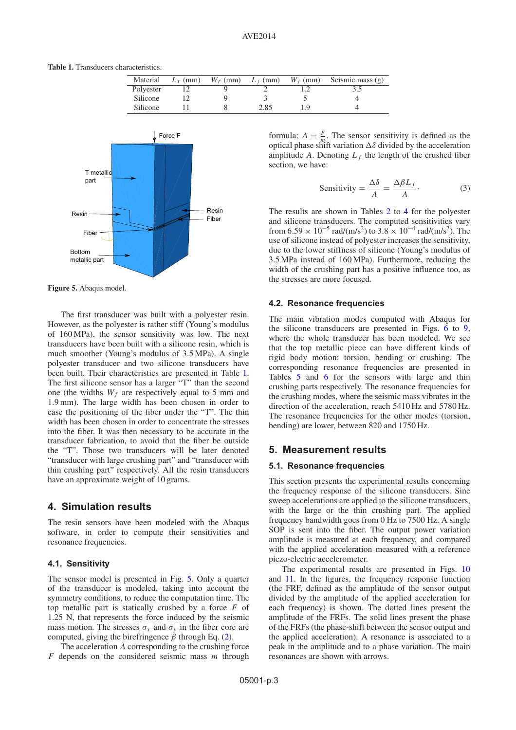<span id="page-2-0"></span>**Table 1.** Transducers characteristics.

| Material  | $L_T$ (mm) | $W_T$ (mm) | $L_f$ (mm) | $W_f$ (mm) | Seismic mass (g) |
|-----------|------------|------------|------------|------------|------------------|
| Polyester |            |            |            |            |                  |
| Silicone  |            |            |            |            |                  |
| Silicone  |            |            | 2.85       |            |                  |

<span id="page-2-1"></span>

**Figure 5.** Abaqus model.

The first transducer was built with a polyester resin. However, as the polyester is rather stiff (Young's modulus of 160 MPa), the sensor sensitivity was low. The next transducers have been built with a silicone resin, which is much smoother (Young's modulus of 3.5 MPa). A single polyester transducer and two silicone transducers have been built. Their characteristics are presented in Table [1.](#page-2-0) The first silicone sensor has a larger "T" than the second one (the widths  $W_f$  are respectively equal to 5 mm and 1.9 mm). The large width has been chosen in order to ease the positioning of the fiber under the "T". The thin width has been chosen in order to concentrate the stresses into the fiber. It was then necessary to be accurate in the transducer fabrication, to avoid that the fiber be outside the "T". Those two transducers will be later denoted "transducer with large crushing part" and "transducer with thin crushing part" respectively. All the resin transducers have an approximate weight of 10 grams.

# **4. Simulation results**

The resin sensors have been modeled with the Abaqus software, in order to compute their sensitivities and resonance frequencies.

#### **4.1. Sensitivity**

The sensor model is presented in Fig. [5.](#page-2-1) Only a quarter of the transducer is modeled, taking into account the symmetry conditions, to reduce the computation time. The top metallic part is statically crushed by a force *F* of 1.25 N, that represents the force induced by the seismic mass motion. The stresses  $\sigma_x$  and  $\sigma_y$  in the fiber core are computed, giving the birefringence  $\beta$  through Eq. [\(2\)](#page-1-4).

The acceleration *A* corresponding to the crushing force *F* depends on the considered seismic mass *m* through

<span id="page-2-3"></span>formula:  $A = \frac{F}{m}$ . The sensor sensitivity is defined as the optical phase shift variation  $\Delta \delta$  divided by the acceleration amplitude *A*. Denoting  $L_f$  the length of the crushed fiber section, we have:

Sensitivity = 
$$
\frac{\Delta \delta}{A} = \frac{\Delta \beta L_f}{A}
$$
. (3)

The results are shown in Tables [2](#page-3-0) to [4](#page-3-1) for the polyester and silicone transducers. The computed sensitivities vary from  $6.59 \times 10^{-5}$  rad/(m/s<sup>2</sup>) to  $3.8 \times 10^{-4}$  rad/(m/s<sup>2</sup>). The use of silicone instead of polyester increases the sensitivity, due to the lower stiffness of silicone (Young's modulus of 3.5 MPa instead of 160 MPa). Furthermore, reducing the width of the crushing part has a positive influence too, as the stresses are more focused.

#### <span id="page-2-2"></span>**4.2. Resonance frequencies**

The main vibration modes computed with Abaqus for the silicone transducers are presented in Figs. [6](#page-3-2) to [9,](#page-3-3) where the whole transducer has been modeled. We see that the top metallic piece can have different kinds of rigid body motion: torsion, bending or crushing. The corresponding resonance frequencies are presented in Tables [5](#page-3-4) and [6](#page-3-5) for the sensors with large and thin crushing parts respectively. The resonance frequencies for the crushing modes, where the seismic mass vibrates in the direction of the acceleration, reach 5410 Hz and 5780 Hz. The resonance frequencies for the other modes (torsion, bending) are lower, between 820 and 1750 Hz.

#### **5. Measurement results**

#### **5.1. Resonance frequencies**

This section presents the experimental results concerning the frequency response of the silicone transducers. Sine sweep accelerations are applied to the silicone transducers, with the large or the thin crushing part. The applied frequency bandwidth goes from 0 Hz to 7500 Hz. A single SOP is sent into the fiber. The output power variation amplitude is measured at each frequency, and compared with the applied acceleration measured with a reference piezo-electric accelerometer.

The experimental results are presented in Figs. [10](#page-4-0) and [11.](#page-4-1) In the figures, the frequency response function (the FRF, defined as the amplitude of the sensor output divided by the amplitude of the applied acceleration for each frequency) is shown. The dotted lines present the amplitude of the FRFs. The solid lines present the phase of the FRFs (the phase-shift between the sensor output and the applied acceleration). A resonance is associated to a peak in the amplitude and to a phase variation. The main resonances are shown with arrows.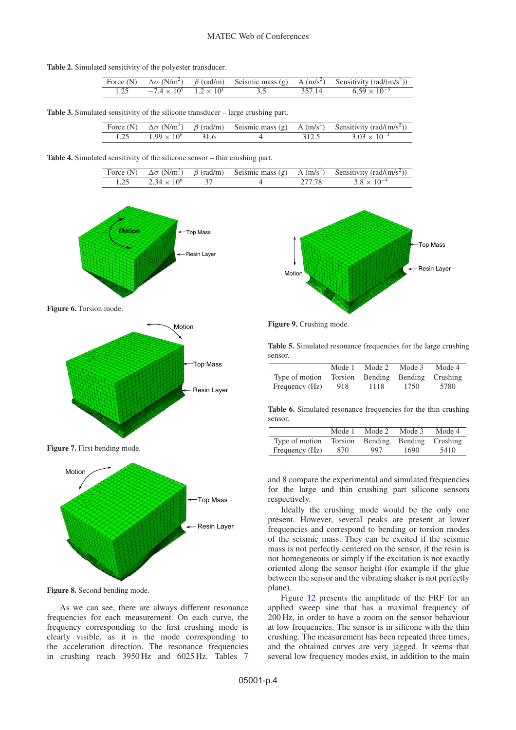<span id="page-3-0"></span>**Table 2.** Simulated sensitivity of the polyester transducer.

|                                           |     | Force (N) $\Delta \sigma$ (N/m <sup>2</sup> ) $\beta$ (rad/m) Seismic mass (g) A (m/s <sup>2</sup> ) Sensitivity (rad/(m/s <sup>2</sup> )) |
|-------------------------------------------|-----|--------------------------------------------------------------------------------------------------------------------------------------------|
| 1.25 $-7.4 \times 10^5$ $1.2 \times 10^1$ | 3.5 | $357.14$ 6.59 $\times$ 10 <sup>-5</sup>                                                                                                    |

**Table 3.** Simulated sensitivity of the silicone transducer – large crushing part.

|  |                      |      |  | Force (N) $\Delta \sigma$ (N/m <sup>2</sup> ) $\beta$ (rad/m) Seismic mass (g) A (m/s <sup>2</sup> ) Sensitivity (rad/(m/s <sup>2</sup> )) |
|--|----------------------|------|--|--------------------------------------------------------------------------------------------------------------------------------------------|
|  | $1.99 \times 10^{6}$ | 31.6 |  | $3.03 \times 10^{-4}$                                                                                                                      |

<span id="page-3-2"></span><span id="page-3-1"></span>**Table 4.** Simulated sensitivity of the silicone sensor – thin crushing part.

|                      |  | Force (N) $\Delta \sigma$ (N/m <sup>2</sup> ) $\beta$ (rad/m) Seismic mass (g) A (m/s <sup>2</sup> ) Sensitivity (rad/(m/s <sup>2</sup> )) |
|----------------------|--|--------------------------------------------------------------------------------------------------------------------------------------------|
| $2.34 \times 10^{6}$ |  | $3.8 \times 10^{-4}$                                                                                                                       |



**Figure 6.** Torsion mode.



**Figure 7.** First bending mode.



**Figure 8.** Second bending mode.

As we can see, there are always different resonance frequencies for each measurement. On each curve, the frequency corresponding to the first crushing mode is clearly visible, as it is the mode corresponding to the acceleration direction. The resonance frequencies in crushing reach 3950 Hz and 6025 Hz. Tables [7](#page-4-2)

<span id="page-3-3"></span>

**Figure 9.** Crushing mode.

<span id="page-3-4"></span>**Table 5.** Simulated resonance frequencies for the large crushing sensor.

|                                                 | Mode 1 | Mode 2 | Mode 3 | Mode 4 |
|-------------------------------------------------|--------|--------|--------|--------|
| Type of motion Torsion Bending Bending Crushing |        |        |        |        |
| Frequency (Hz)                                  | 918    | 1118   | 1750   | 5780   |

<span id="page-3-5"></span>**Table 6.** Simulated resonance frequencies for the thin crushing sensor.

|                | Mode 1 | Mode 2                           | Mode 3 | Mode 4 |
|----------------|--------|----------------------------------|--------|--------|
| Type of motion |        | Torsion Bending Bending Crushing |        |        |
| Frequency (Hz) | 870    | 997                              | 1690   | 5410   |

and [8](#page-4-3) compare the experimental and simulated frequencies for the large and thin crushing part silicone sensors respectively.

Ideally the crushing mode would be the only one present. However, several peaks are present at lower frequencies and correspond to bending or torsion modes of the seismic mass. They can be excited if the seismic mass is not perfectly centered on the sensor, if the resin is not homogeneous or simply if the excitation is not exactly oriented along the sensor height (for example if the glue between the sensor and the vibrating shaker is not perfectly plane).

Figure [12](#page-4-4) presents the amplitude of the FRF for an applied sweep sine that has a maximal frequency of 200 Hz, in order to have a zoom on the sensor behaviour at low frequencies. The sensor is in silicone with the thin crushing. The measurement has been repeated three times, and the obtained curves are very jagged. It seems that several low frequency modes exist, in addition to the main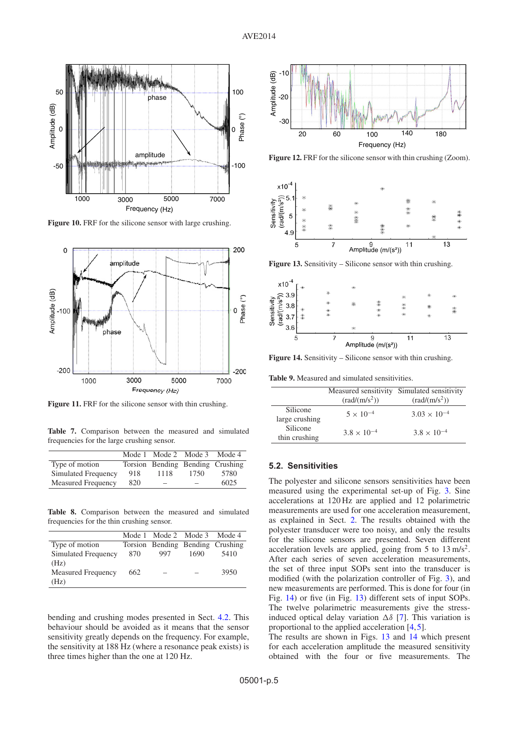<span id="page-4-0"></span>

**Figure 10.** FRF for the silicone sensor with large crushing.

<span id="page-4-1"></span>

**Figure 11.** FRF for the silicone sensor with thin crushing.

<span id="page-4-2"></span>**Table 7.** Comparison between the measured and simulated frequencies for the large crushing sensor.

|                           |     | Mode 1 Mode 2 Mode 3 |      | Mode 4                           |
|---------------------------|-----|----------------------|------|----------------------------------|
| Type of motion            |     |                      |      | Torsion Bending Bending Crushing |
| Simulated Frequency       | 918 | 1118                 | 1750 | 5780                             |
| <b>Measured Frequency</b> | 820 | –                    |      | 6025                             |

<span id="page-4-3"></span>**Table 8.** Comparison between the measured and simulated frequencies for the thin crushing sensor.

|                           |      | Mode 1 Mode 2 Mode 3 Mode 4      |      |      |
|---------------------------|------|----------------------------------|------|------|
| Type of motion            |      | Torsion Bending Bending Crushing |      |      |
| Simulated Frequency       | -870 | 997                              | 1690 | 5410 |
| (Hz)                      |      |                                  |      |      |
| <b>Measured Frequency</b> | 662  |                                  |      | 3950 |
| (Hz)                      |      |                                  |      |      |

bending and crushing modes presented in Sect. [4.2.](#page-2-2) This behaviour should be avoided as it means that the sensor sensitivity greatly depends on the frequency. For example, the sensitivity at 188 Hz (where a resonance peak exists) is three times higher than the one at 120 Hz.

<span id="page-4-4"></span>

Figure 12. FRF for the silicone sensor with thin crushing (Zoom).

<span id="page-4-6"></span>

**Figure 13.** Sensitivity – Silicone sensor with thin crushing.

<span id="page-4-5"></span>

**Figure 14.** Sensitivity – Silicone sensor with thin crushing.

<span id="page-4-7"></span>**Table 9.** Measured and simulated sensitivities.

|                            | Measured sensitivity<br>$\left(\frac{\text{rad}}{\text{m/s}^2}\right)$ | Simulated sensitivity<br>$\left(\frac{\text{rad}}{\text{m/s}^2}\right)$ |
|----------------------------|------------------------------------------------------------------------|-------------------------------------------------------------------------|
| Silicone<br>large crushing | $5 \times 10^{-4}$                                                     | $3.03 \times 10^{-4}$                                                   |
| Silicone<br>thin crushing  | $3.8 \times 10^{-4}$                                                   | $3.8 \times 10^{-4}$                                                    |

### **5.2. Sensitivities**

The polyester and silicone sensors sensitivities have been measured using the experimental set-up of Fig. [3.](#page-1-2) Sine accelerations at 120 Hz are applied and 12 polarimetric measurements are used for one acceleration measurement, as explained in Sect. [2.](#page-0-0) The results obtained with the polyester transducer were too noisy, and only the results for the silicone sensors are presented. Seven different acceleration levels are applied, going from 5 to  $13 \text{ m/s}^2$ . After each series of seven acceleration measurements, the set of three input SOPs sent into the transducer is modified (with the polarization controller of Fig. [3\)](#page-1-2), and new measurements are performed. This is done for four (in Fig. [14\)](#page-4-5) or five (in Fig. [13\)](#page-4-6) different sets of input SOPs. The twelve polarimetric measurements give the stressinduced optical delay variation  $\Delta \delta$  [\[7](#page-5-4)]. This variation is proportional to the applied acceleration [\[4](#page-5-2),[5\]](#page-5-1).

The results are shown in Figs. [13](#page-4-6) and [14](#page-4-5) which present for each acceleration amplitude the measured sensitivity obtained with the four or five measurements. The